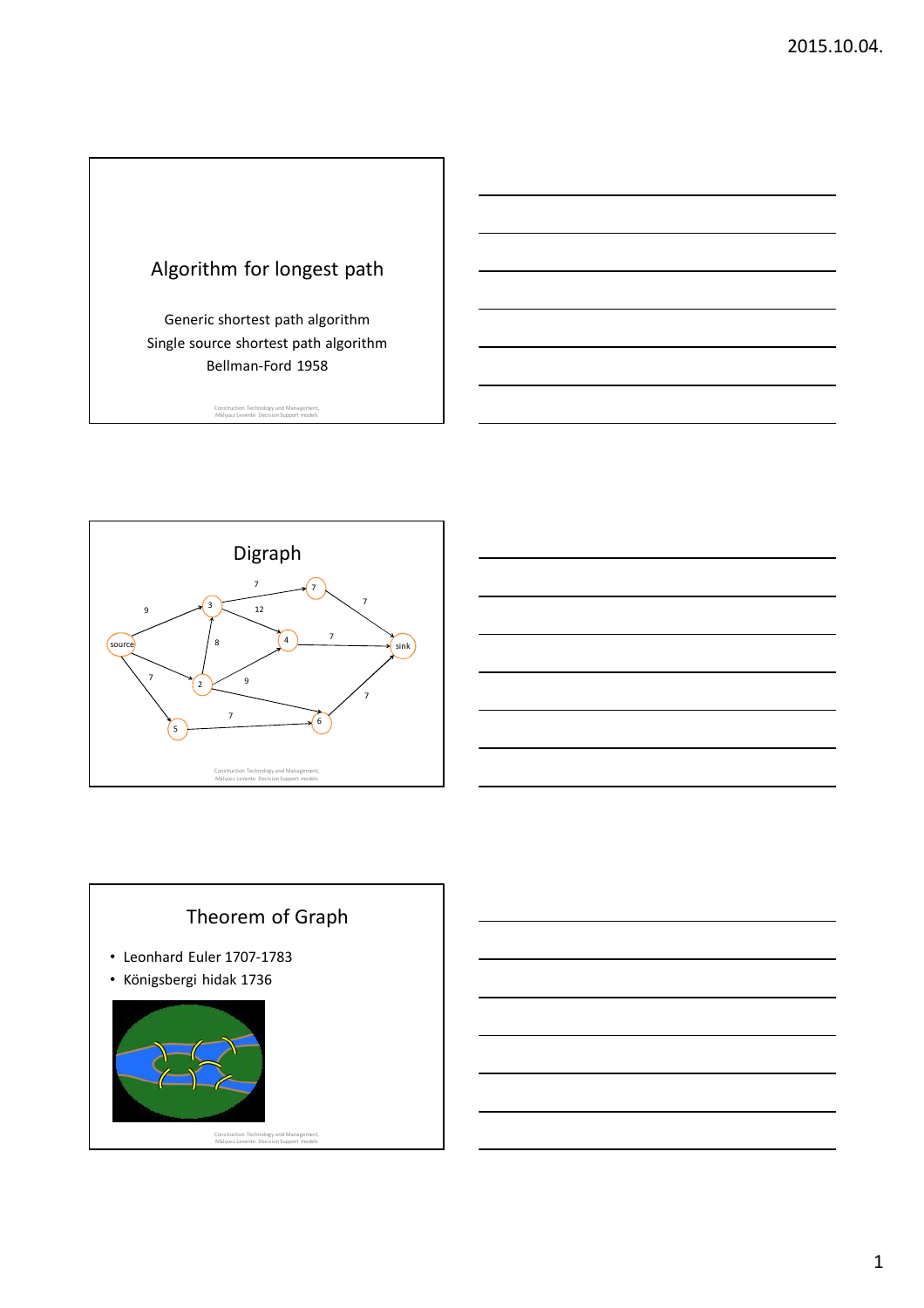

Generic shortest path algorithm Single source shortest path algorithm Bellman-Ford 1958

Construction Technology and Management, Mályusz Levente Decision Support models





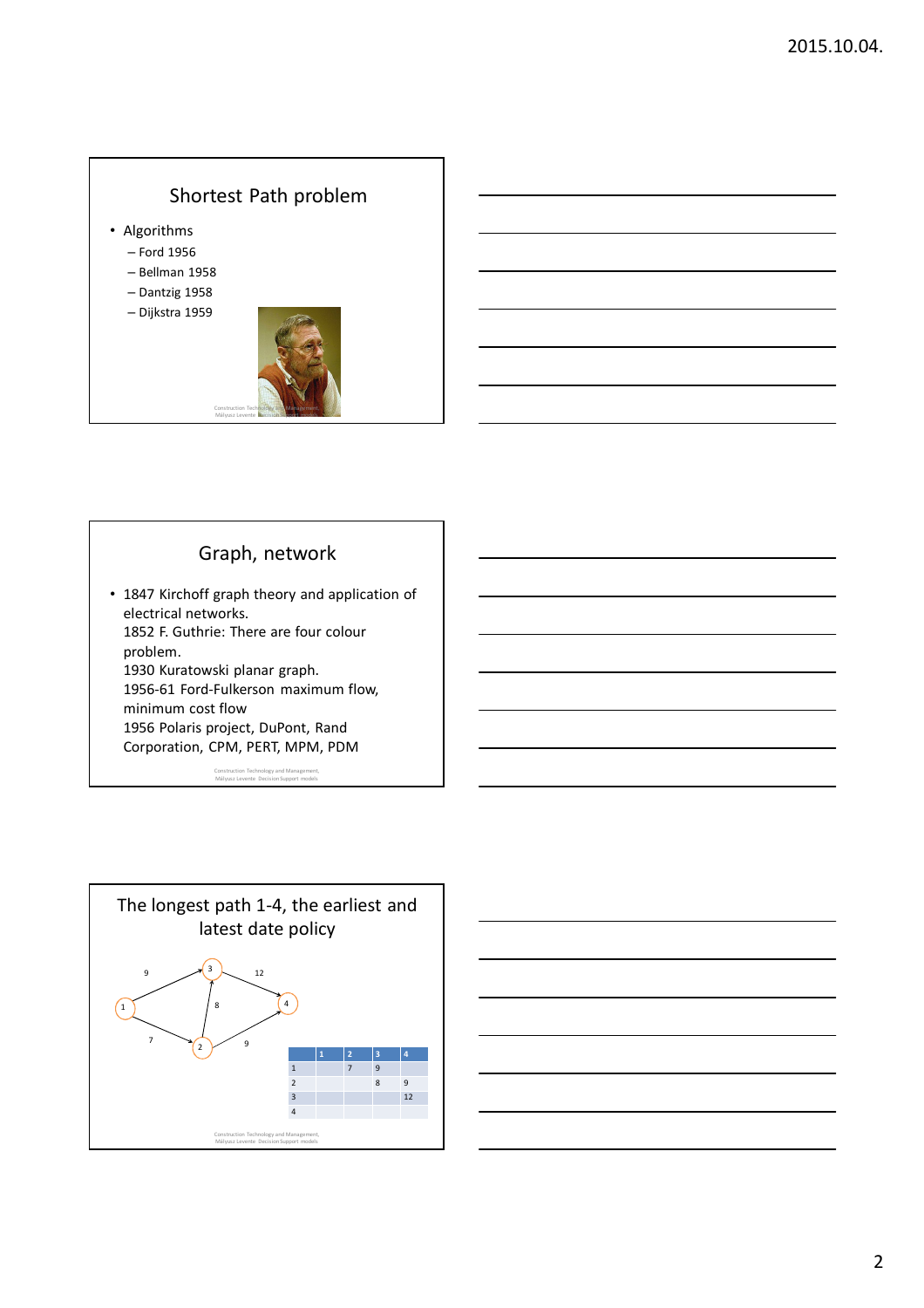## Shortest Path problem

- Algorithms
	- Ford 1956
	- Bellman 1958
	- Dantzig 1958
	- Dijkstra 1959



## Graph, network

• 1847 Kirchoff graph theory and application of electrical networks. 1852 F. Guthrie: There are four colour problem. 1930 Kuratowski planar graph. 1956-61 Ford-Fulkerson maximum flow, minimum cost flow 1956 Polaris project, DuPont, Rand Corporation, CPM, PERT, MPM, PDM

Construction Technology and Management, Mályusz Levente Decision Support models



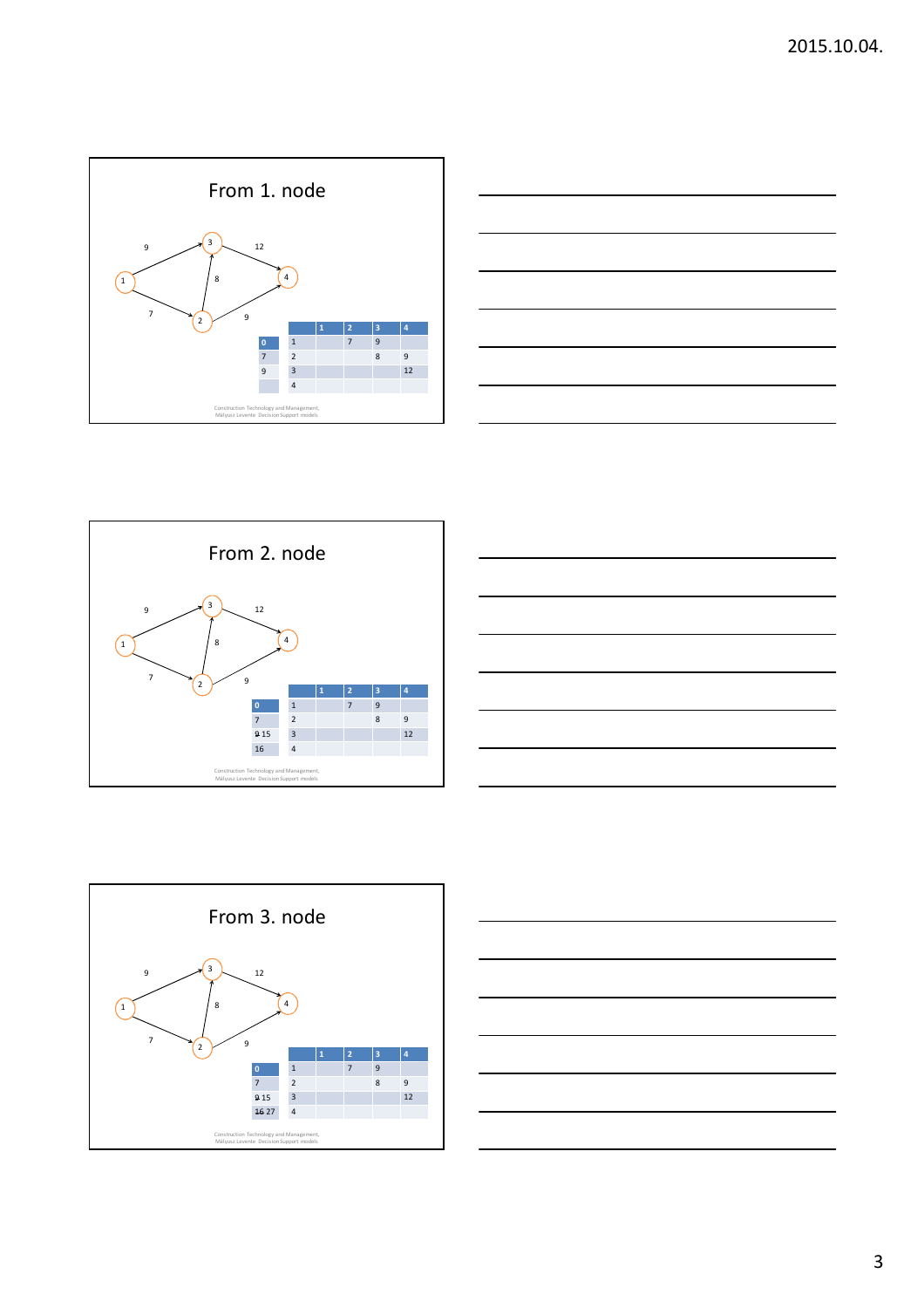









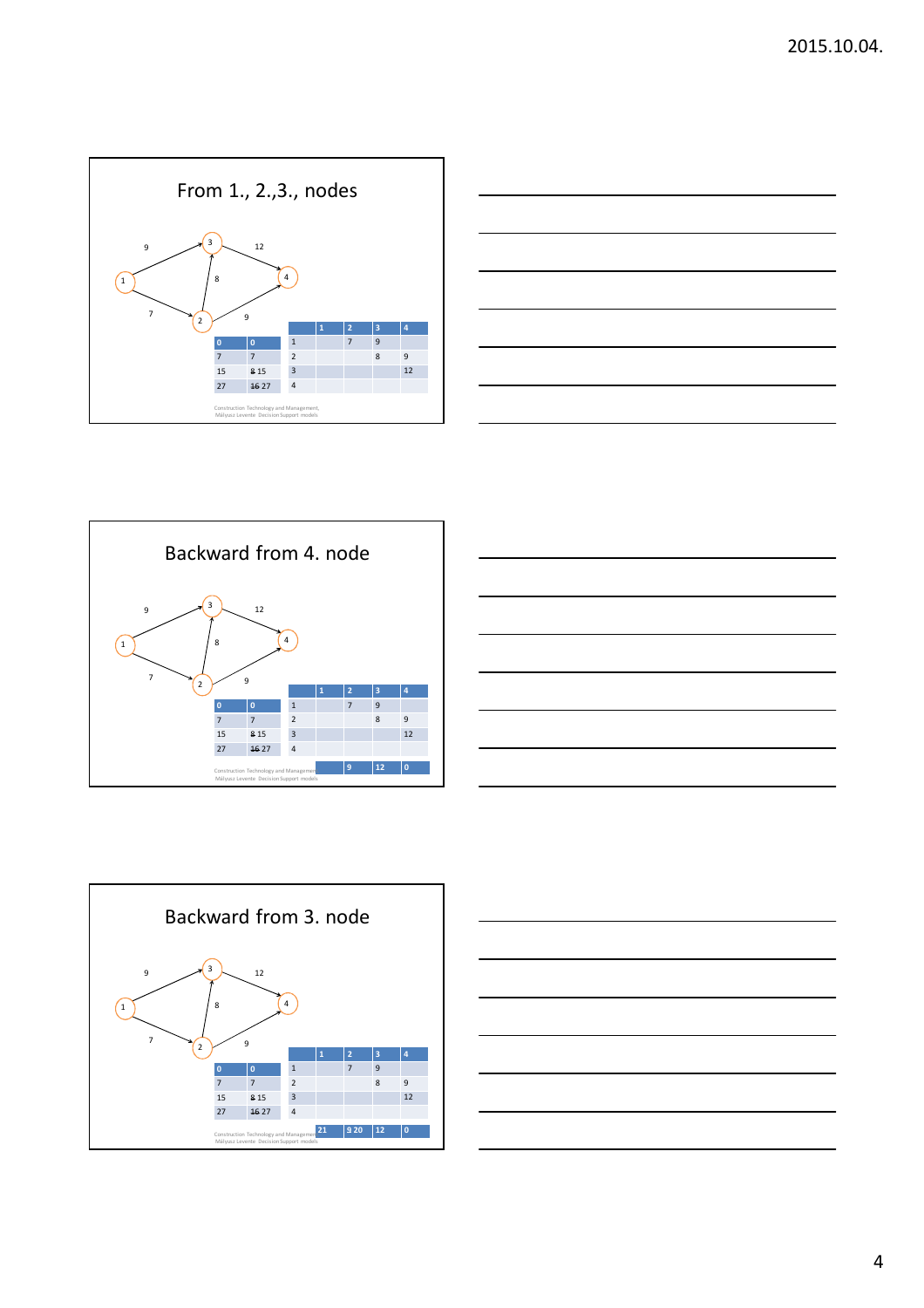









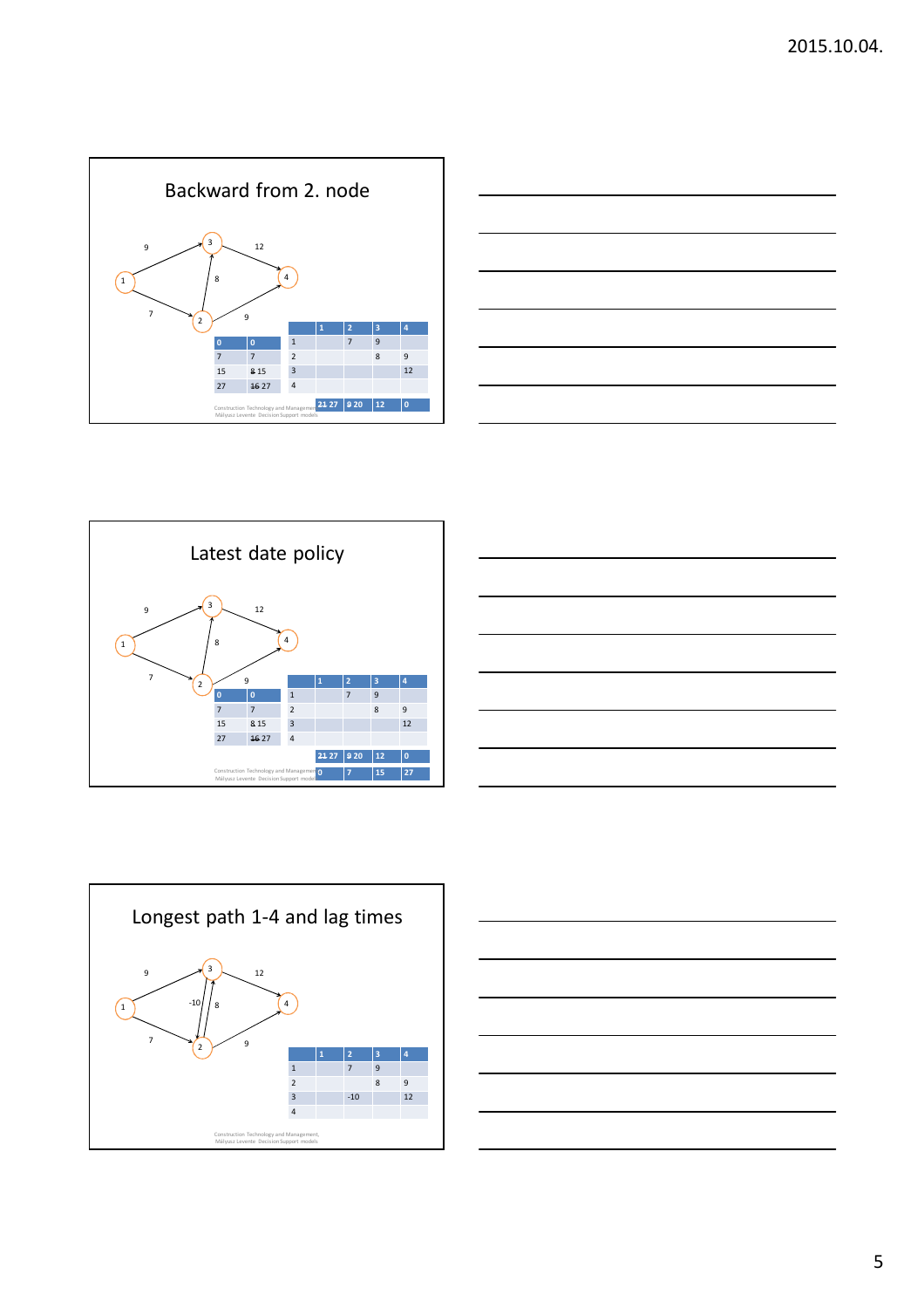









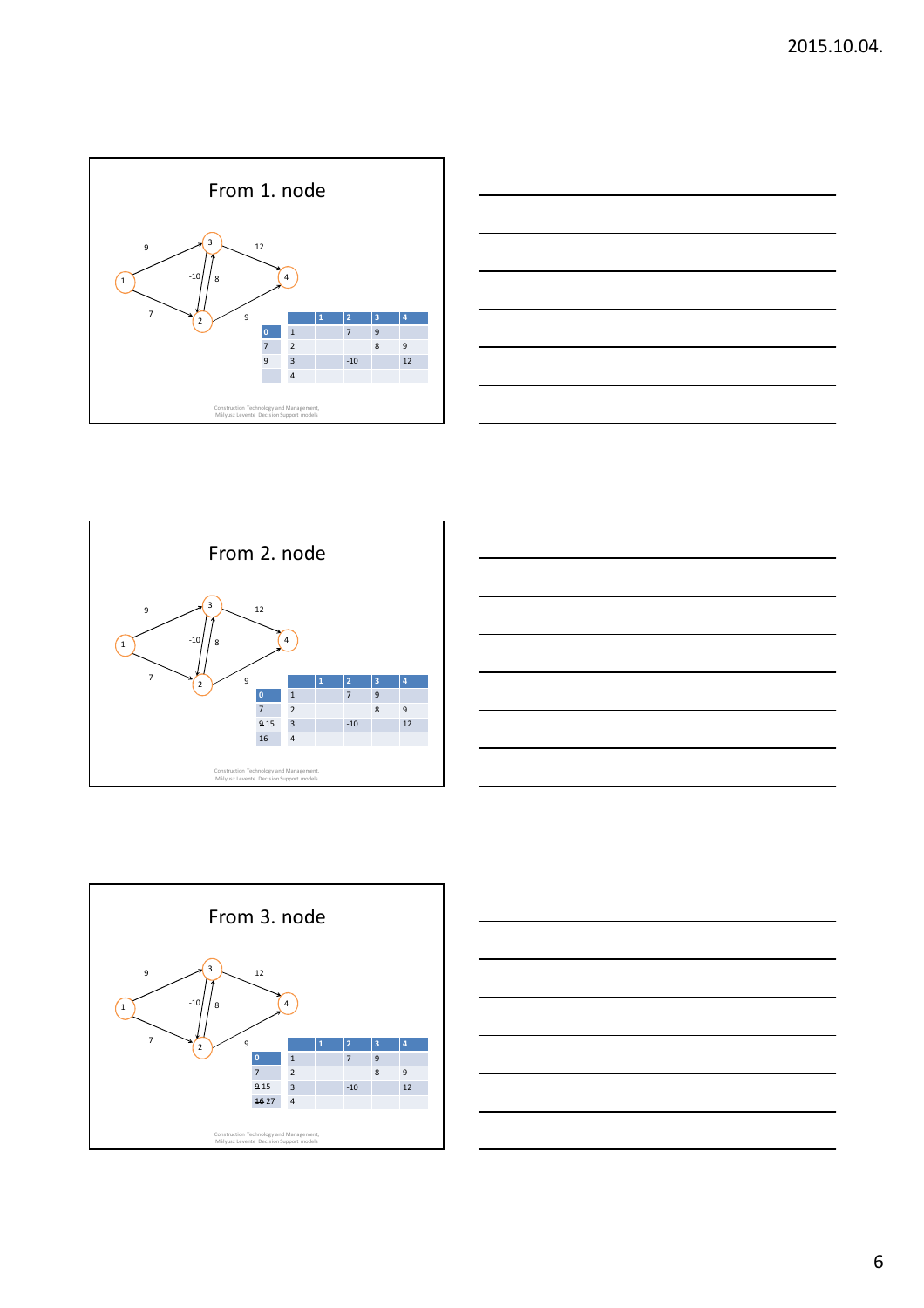









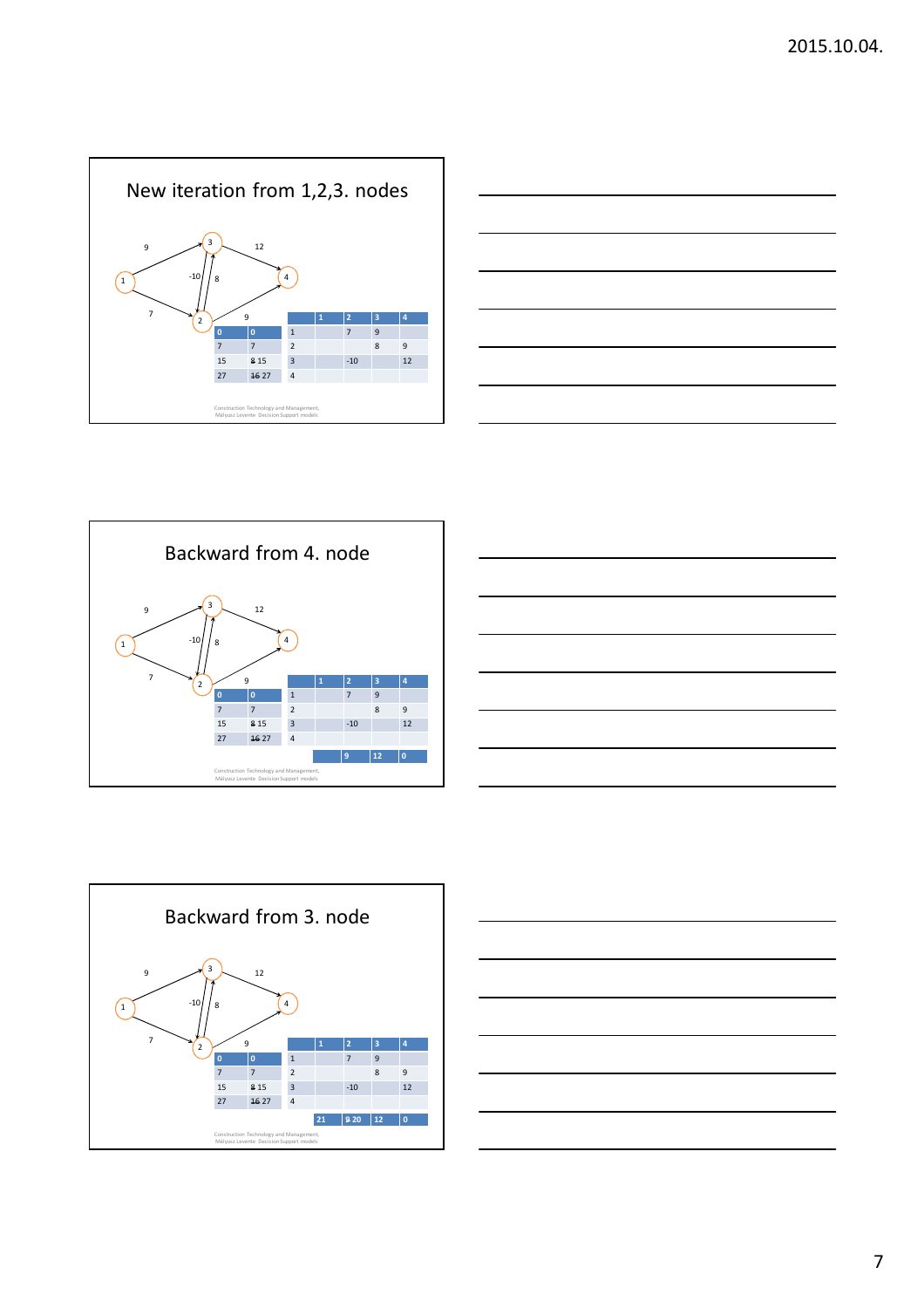









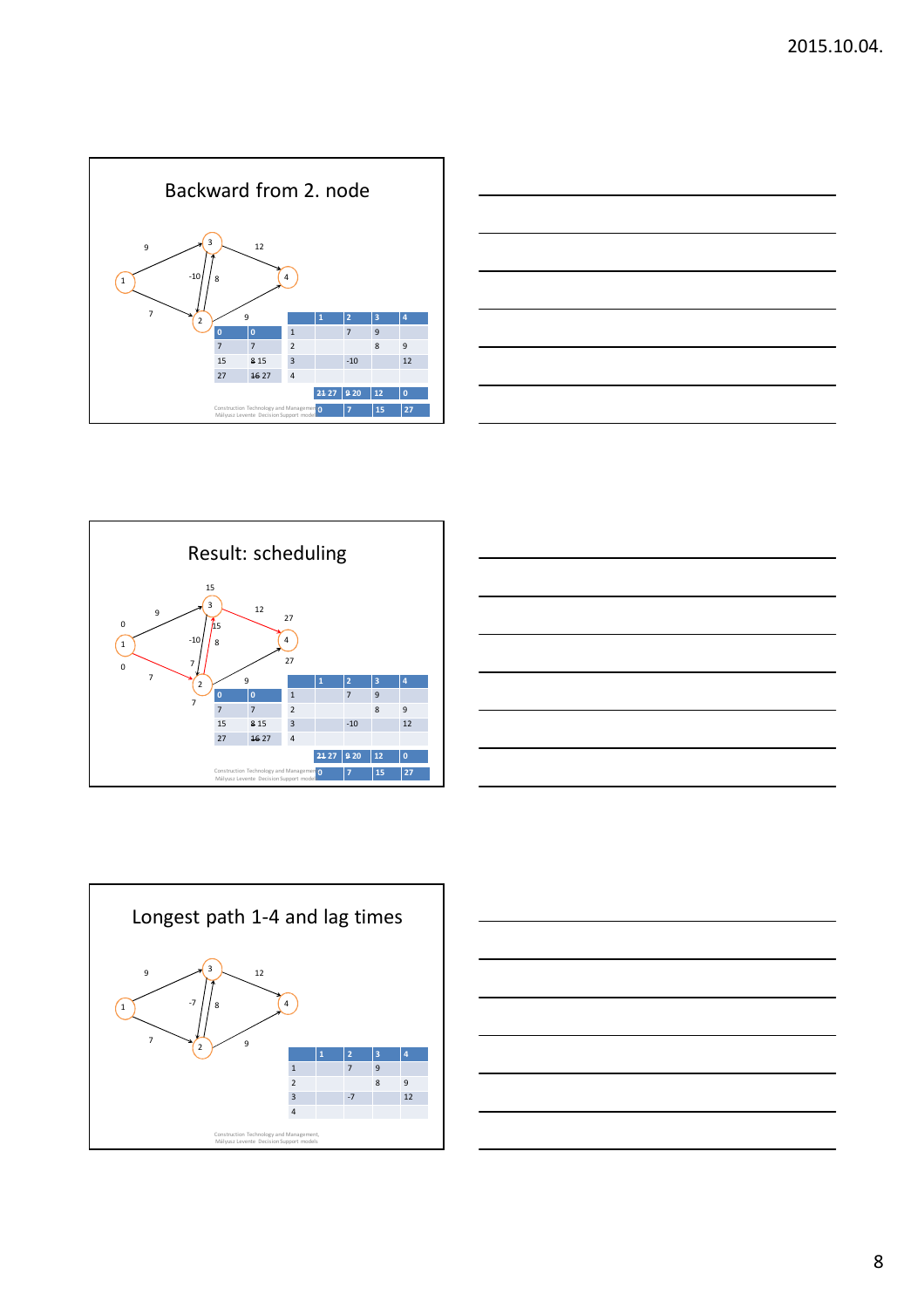









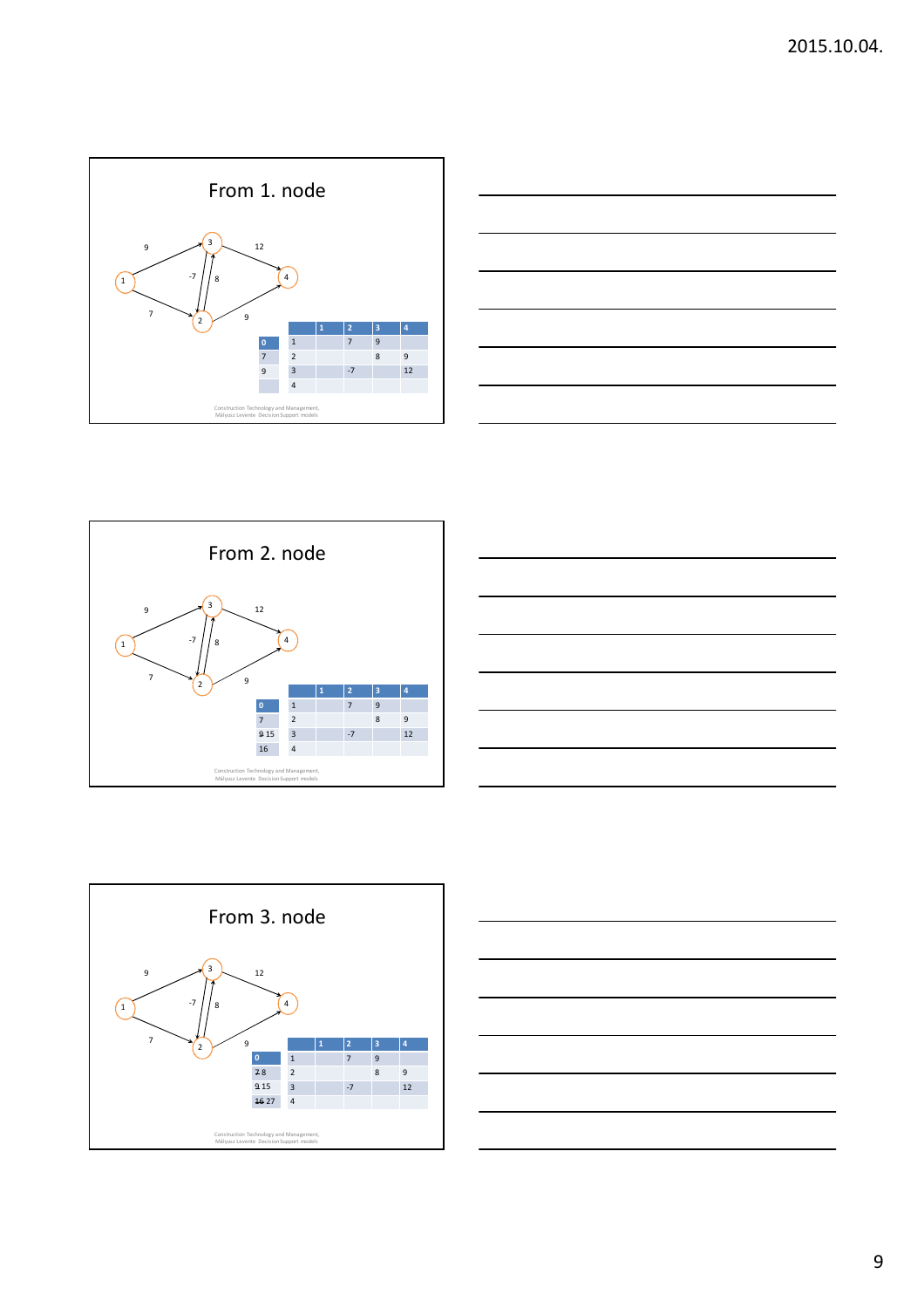









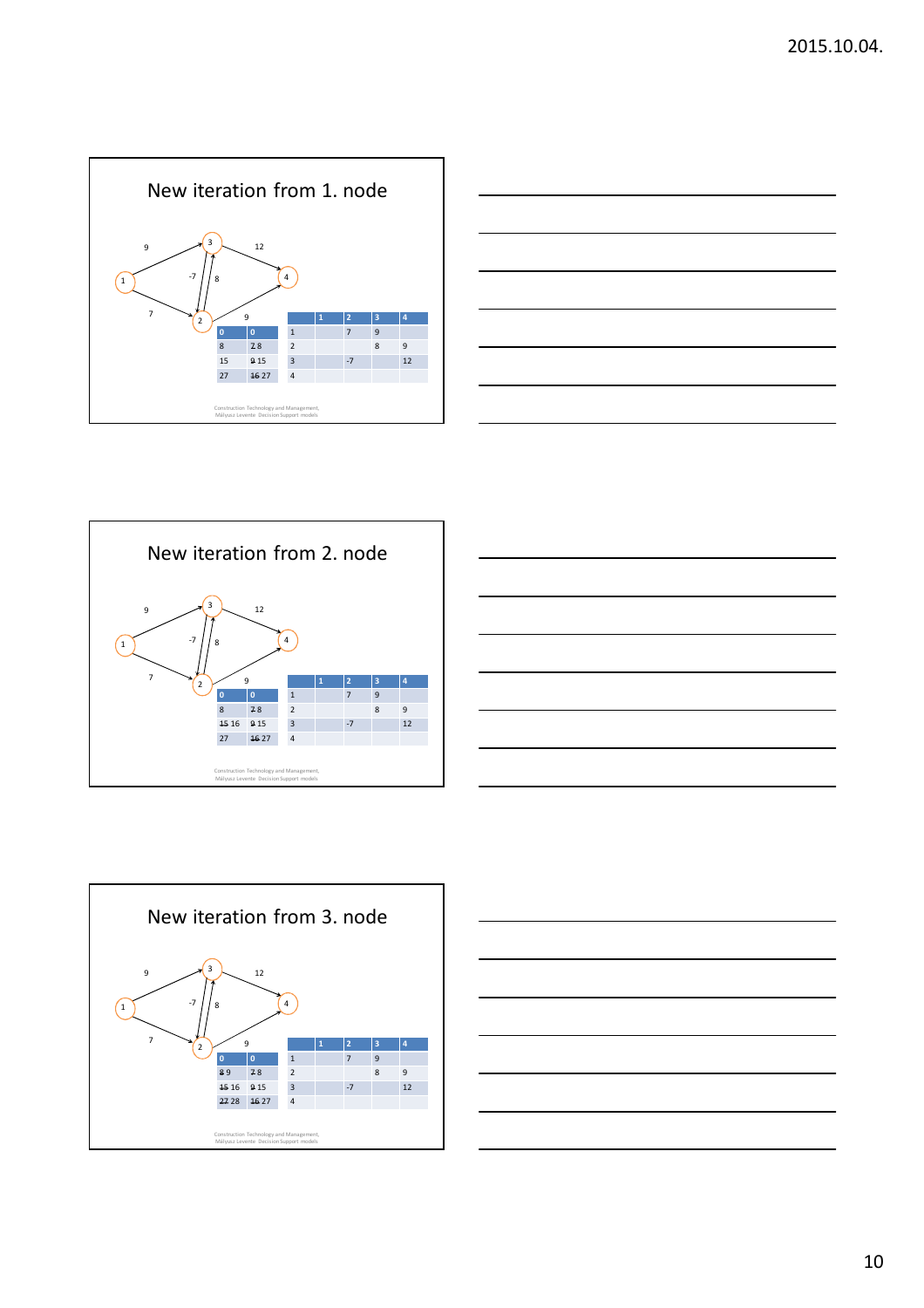









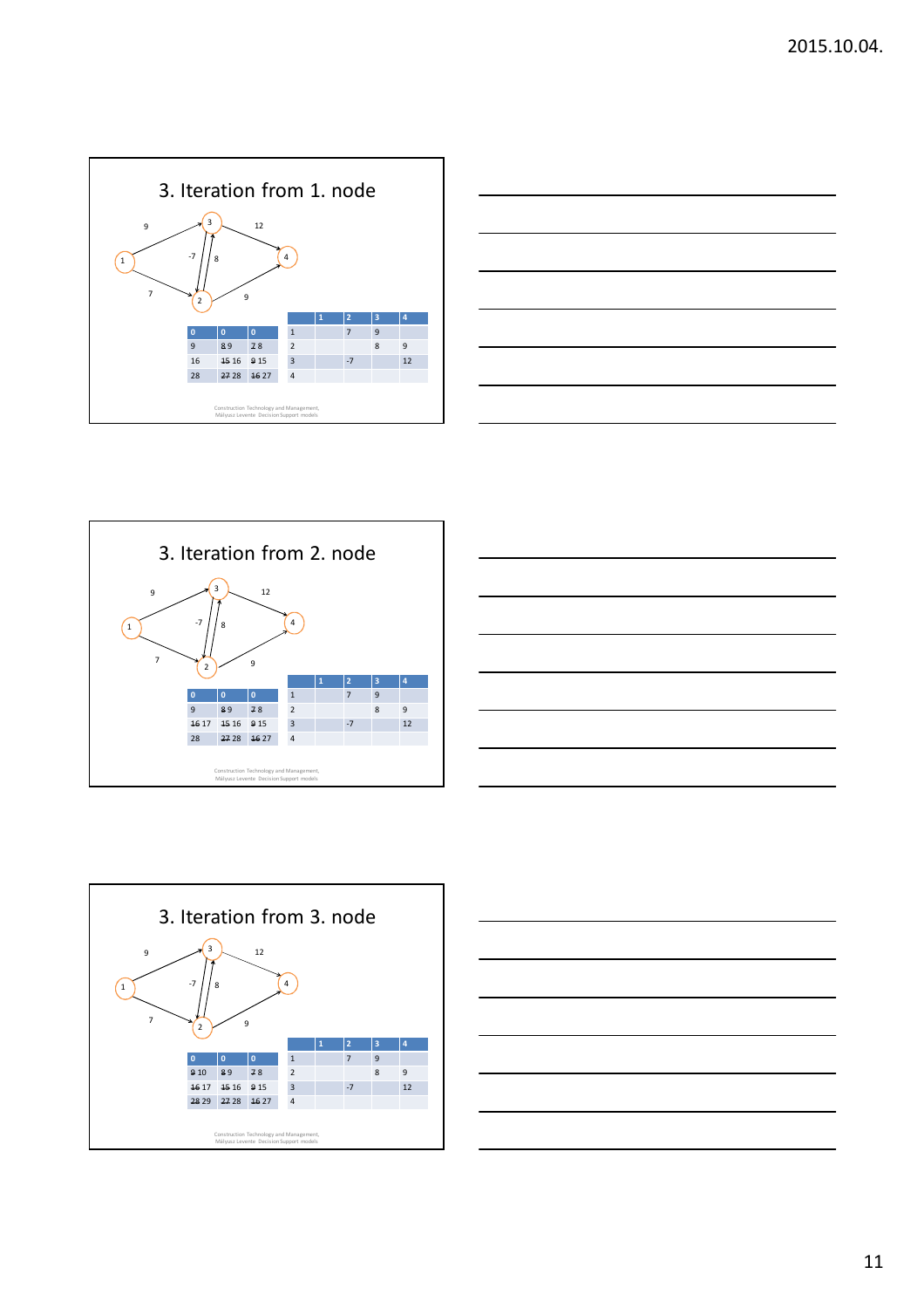









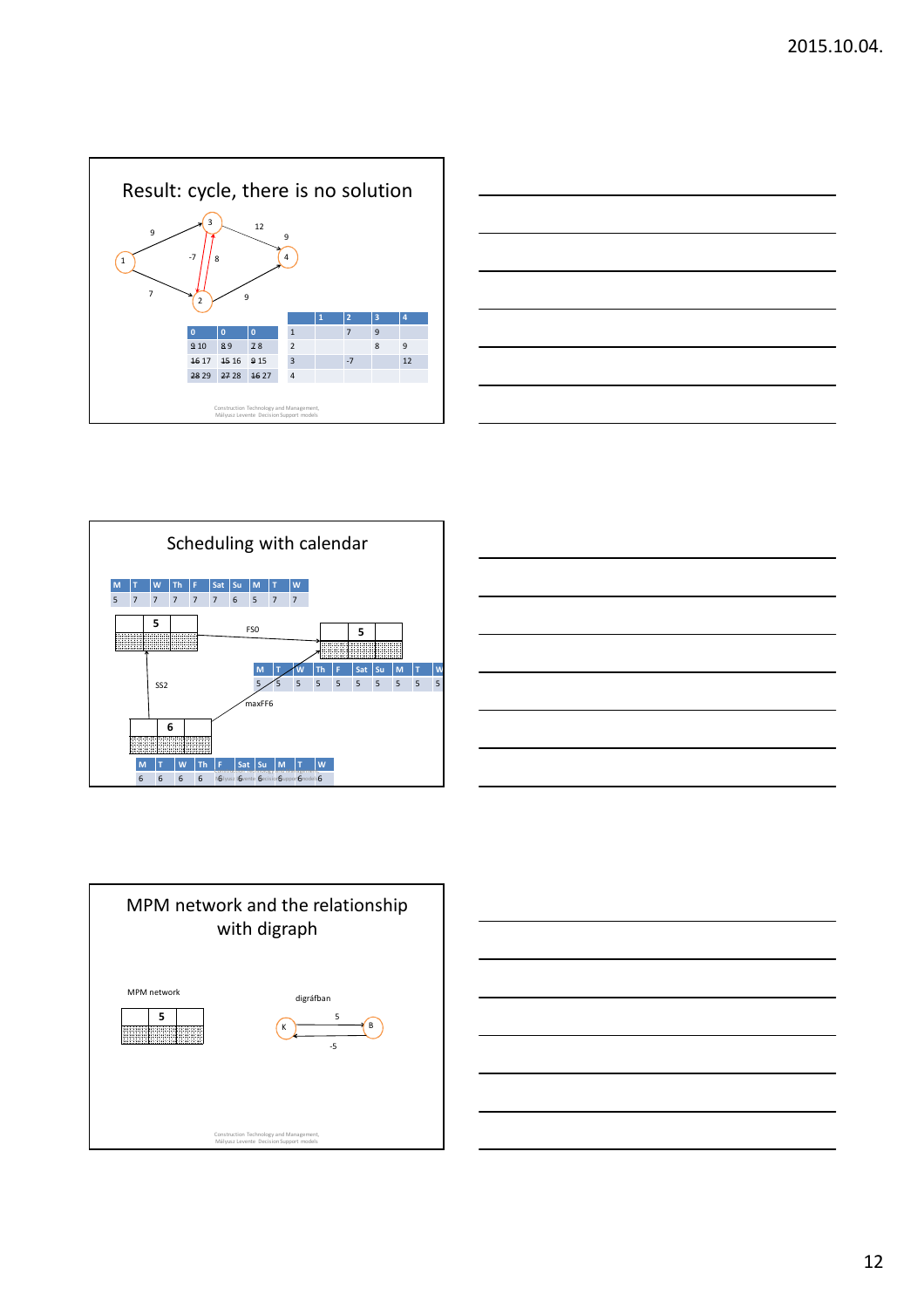









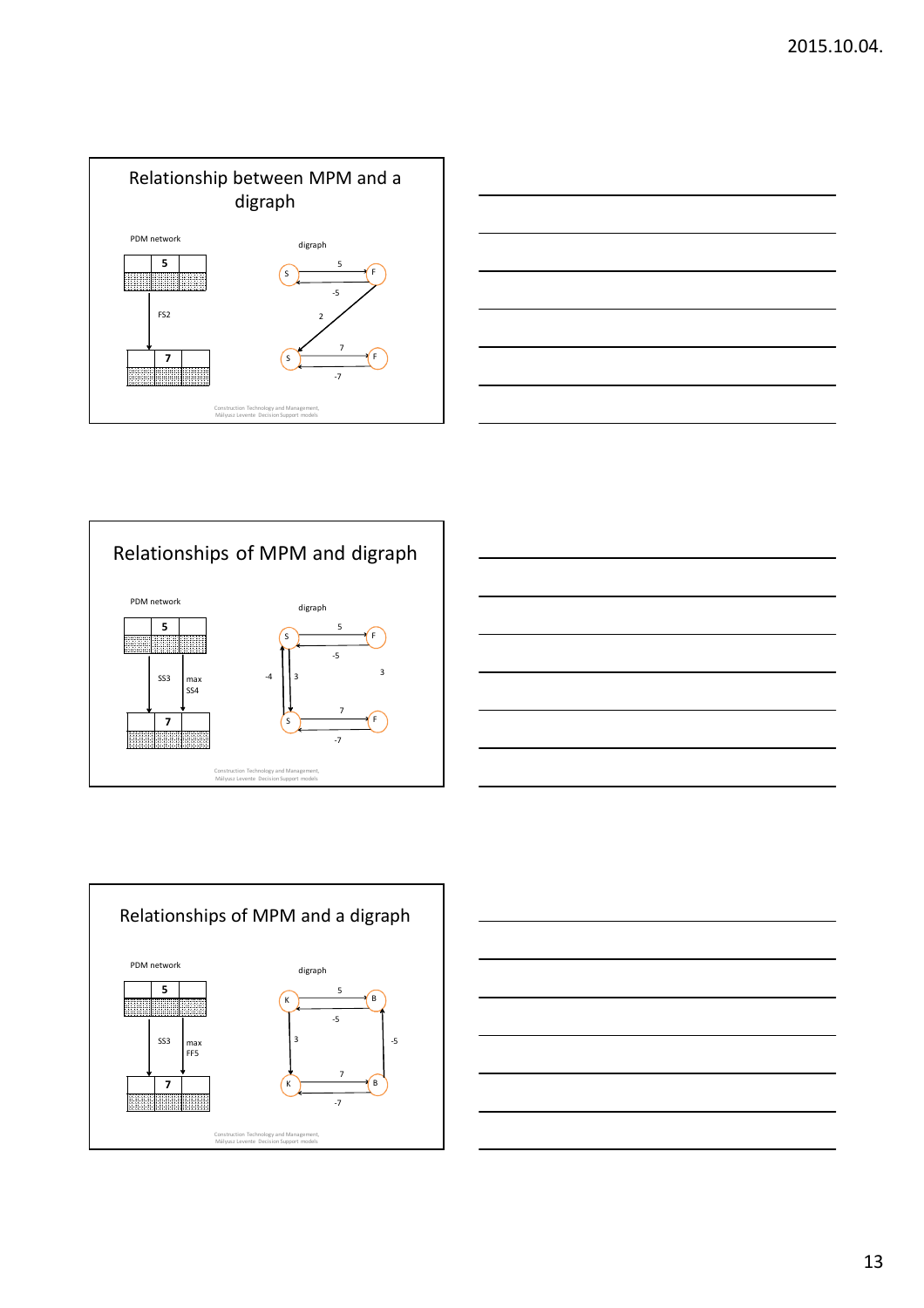









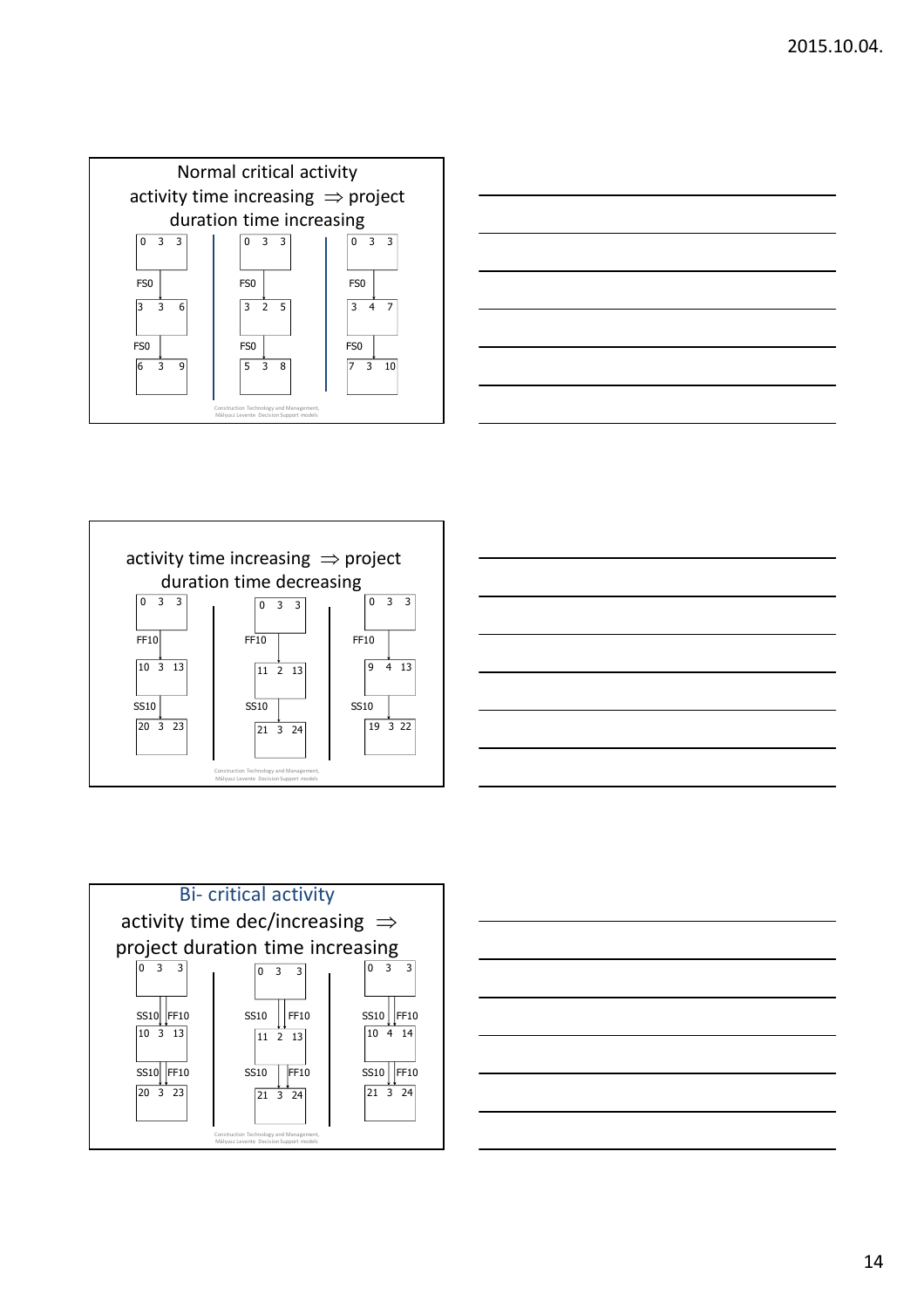